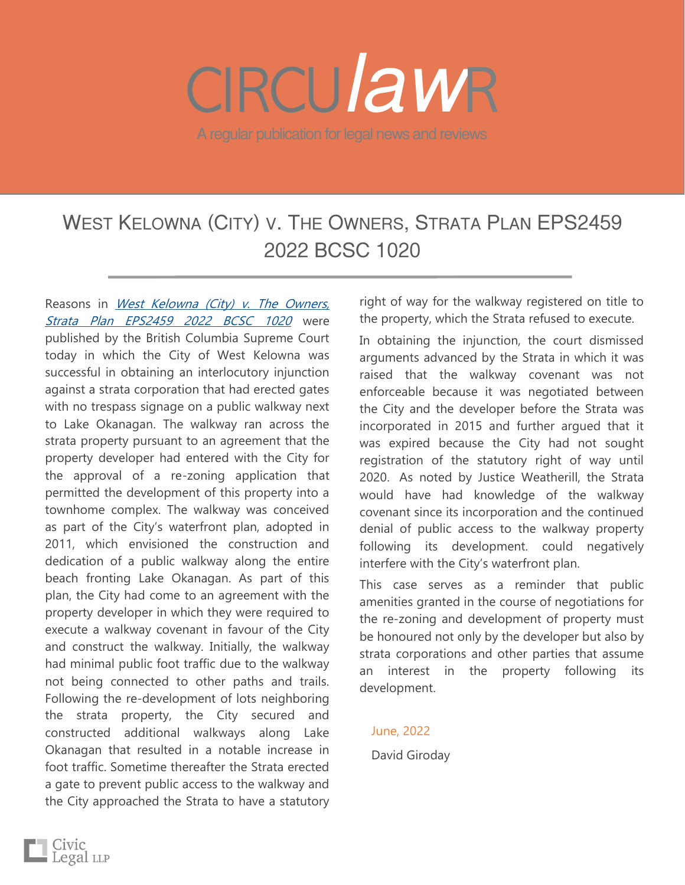## A regular publication for legal news and reviews *law*

## WEST KELOWNA (CITY) V. THE OWNERS, STRATA PLAN [EPS2459](https://www.bccourts.ca/jdb-txt/sc/22/10/2022BCSC1020.htm)  [2022 BCSC 1020](https://www.bccourts.ca/jdb-txt/sc/22/10/2022BCSC1020.htm)

Reasons in West Kelowna (City) v. The Owners, [Strata Plan EPS2459 2022 BCSC 1020](https://www.bccourts.ca/jdb-txt/sc/22/10/2022BCSC1020.htm) were published by the British Columbia Supreme Court today in which the City of West Kelowna was successful in obtaining an interlocutory injunction against a strata corporation that had erected gates with no trespass signage on a public walkway next to Lake Okanagan. The walkway ran across the strata property pursuant to an agreement that the property developer had entered with the City for the approval of a re-zoning application that permitted the development of this property into a townhome complex. The walkway was conceived as part of the City's waterfront plan, adopted in 2011, which envisioned the construction and dedication of a public walkway along the entire beach fronting Lake Okanagan. As part of this plan, the City had come to an agreement with the property developer in which they were required to execute a walkway covenant in favour of the City and construct the walkway. Initially, the walkway had minimal public foot traffic due to the walkway not being connected to other paths and trails. Following the re-development of lots neighboring the strata property, the City secured and constructed additional walkways along Lake Okanagan that resulted in a notable increase in foot traffic. Sometime thereafter the Strata erected a gate to prevent public access to the walkway and the City approached the Strata to have a statutory

right of way for the walkway registered on title to the property, which the Strata refused to execute.

In obtaining the injunction, the court dismissed arguments advanced by the Strata in which it was raised that the walkway covenant was not enforceable because it was negotiated between the City and the developer before the Strata was incorporated in 2015 and further argued that it was expired because the City had not sought registration of the statutory right of way until 2020. As noted by Justice Weatherill, the Strata would have had knowledge of the walkway covenant since its incorporation and the continued denial of public access to the walkway property following its development. could negatively interfere with the City's waterfront plan.

This case serves as a reminder that public amenities granted in the course of negotiations for the re-zoning and development of property must be honoured not only by the developer but also by strata corporations and other parties that assume an interest in the property following its development.

## June, 2022 David Giroday